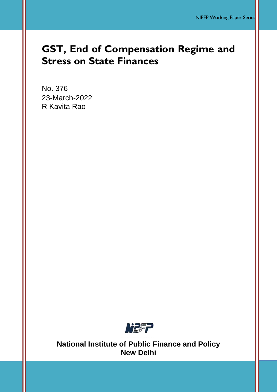# **GST, End of Compensation Regime and Stress on State Finances**

No. 376 23-March-2022 R Kavita Rao



**National Institute of Public Finance and Policy New Delhi**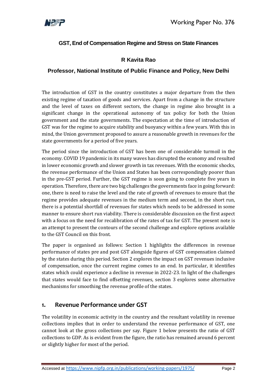

### **GST, End of Compensation Regime and Stress on State Finances**

### **R Kavita Rao**

### **Professor, National Institute of Public Finance and Policy, New Delhi**

The introduction of GST in the country constitutes a major departure from the then existing regime of taxation of goods and services. Apart from a change in the structure and the level of taxes on different sectors, the change in regime also brought in a significant change in the operational autonomy of tax policy for both the Union government and the state governments. The expectation at the time of introduction of GST was for the regime to acquire stability and buoyancy within a few years. With this in mind, the Union government proposed to assure a reasonable growth in revenues for the state governments for a period of five years.

The period since the introduction of GST has been one of considerable turmoil in the economy. COVID 19 pandemic in its many waves has disrupted the economy and resulted in lower economic growth and slower growth in tax revenues. With the economic shocks, the revenue performance of the Union and States has been correspondingly poorer than in the pre-GST period. Further, the GST regime is soon going to complete five years in operation. Therefore, there are two big challenges the governments face in going forward: one, there is need to raise the level and the rate of growth of revenues to ensure that the regime provides adequate revenues in the medium term and second, in the short run, there is a potential shortfall of revenues for states which needs to be addressed in some manner to ensure short run viability. There is considerable discussion on the first aspect with a focus on the need for recalibration of the rates of tax for GST. The present note is an attempt to present the contours of the second challenge and explore options available to the GST Council on this front.

The paper is organised as follows: Section 1 highlights the differences in revenue performance of states pre and post GST alongside figures of GST compensation claimed by the states during this period. Section 2 explores the impact on GST revenues inclusive of compensation, once the current regime comes to an end. In particular, it identifies states which could experience a decline in revenue in 2022-23. In light of the challenges that states would face to find offsetting revenues, section 3 explores some alternative mechanisms for smoothing the revenue profile of the states.

## **1. Revenue Performance under GST**

The volatility in economic activity in the country and the resultant volatility in revenue collections implies that in order to understand the revenue performance of GST, one cannot look at the gross collections per say. Figure 1 below presents the ratio of GST collections to GDP. As is evident from the figure, the ratio has remained around 6 percent or slightly higher for most of the period.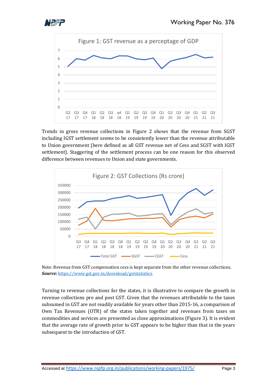





Trends in gross revenue collections in Figure 2 shows that the revenue from SGST including IGST settlement seems to be consistently lower than the revenue attributable to Union government (here defined as all GST revenue net of Cess and SGST with IGST settlement). Staggering of the settlement process can be one reason for this observed difference between revenues to Union and state governments.





Turning to revenue collections for the states, it is illustrative to compare the growth in revenue collections pre and post GST. Given that the revenues attributable to the taxes subsumed in GST are not readily available for years other than 2015-16, a comparison of Own Tax Revenues (OTR) of the states taken together and revenues from taxes on commodities and services are presented as close approximations (Figure 3). It is evident that the average rate of growth prior to GST appears to be higher than that in the years subsequent to the introduction of GST.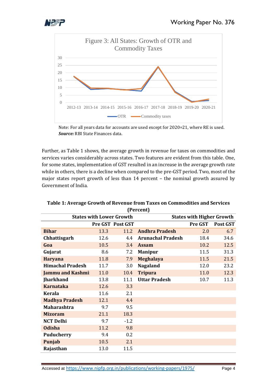



Note: For all years data for accounts are used except for 2020=21, where RE is used. *Source:* RBI State Finances data.

Further, as Table 1 shows, the average growth in revenue for taxes on commodities and services varies considerably across states. Two features are evident from this table. One, for some states, implementation of GST resulted in an increase in the average growth rate while in others, there is a decline when compared to the pre-GST period. Two, most of the major states report growth of less than 14 percent – the nominal growth assured by Government of India.

| <b>States with Higher Growth</b><br><b>States with Lower Growth</b> |      |                  |                          |         |          |  |  |  |  |
|---------------------------------------------------------------------|------|------------------|--------------------------|---------|----------|--|--|--|--|
|                                                                     |      |                  |                          |         |          |  |  |  |  |
|                                                                     |      | Pre GST Post GST |                          | Pre GST | Post GST |  |  |  |  |
| <b>Bihar</b>                                                        | 13.3 | 11.2             | <b>Andhra Pradesh</b>    | 2.0     | 6.7      |  |  |  |  |
| Chhattisgarh                                                        | 12.6 | 4.4              | <b>Arunachal Pradesh</b> | 18.4    | 34.6     |  |  |  |  |
| Goa                                                                 | 10.5 | 3.4              | <b>Assam</b>             | 10.2    | 12.5     |  |  |  |  |
| Gujarat                                                             | 8.6  | 7.2              | <b>Manipur</b>           | 11.5    | 31.3     |  |  |  |  |
| <b>Haryana</b>                                                      | 11.8 | 7.9              | <b>Meghalaya</b>         | 11.5    | 21.5     |  |  |  |  |
| <b>Himachal Pradesh</b>                                             | 11.7 | 3.0              | <b>Nagaland</b>          | 12.0    | 23.2     |  |  |  |  |
| Jammu and Kashmi                                                    | 11.0 | 10.4             | <b>Tripura</b>           | 11.0    | 12.3     |  |  |  |  |
| <b>Jharkhand</b>                                                    | 13.8 | 11.1             | <b>Uttar Pradesh</b>     | 10.7    | 11.3     |  |  |  |  |
| <b>Karnataka</b>                                                    | 12.6 | 3.3              |                          |         |          |  |  |  |  |
| <b>Kerala</b>                                                       | 11.6 | 2.1              |                          |         |          |  |  |  |  |
| <b>Madhya Pradesh</b>                                               | 12.1 | 4.4              |                          |         |          |  |  |  |  |
| <b>Maharashtra</b>                                                  | 9.7  | 9.5              |                          |         |          |  |  |  |  |
| <b>Mizoram</b>                                                      | 21.1 | 18.3             |                          |         |          |  |  |  |  |
| <b>NCT Delhi</b>                                                    | 9.7  | $-1.2$           |                          |         |          |  |  |  |  |
| <b>Odisha</b>                                                       | 11.2 | 9.8              |                          |         |          |  |  |  |  |
| <b>Puducherry</b>                                                   | 9.4  | 0.2              |                          |         |          |  |  |  |  |
| Punjab                                                              | 10.5 | 2.1              |                          |         |          |  |  |  |  |
| Rajasthan                                                           | 13.0 | 11.5             |                          |         |          |  |  |  |  |

#### **Table 1: Average Growth of Revenue from Taxes on Commodities and Services (Percent)**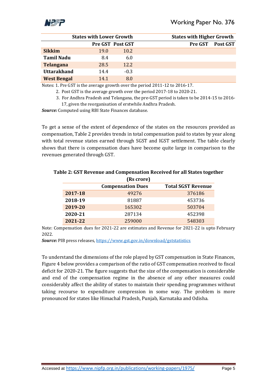

|                    | <b>States with Lower Growth</b> |                         | <b>States with Higher Growth</b> |                 |  |  |
|--------------------|---------------------------------|-------------------------|----------------------------------|-----------------|--|--|
|                    |                                 | <b>Pre GST Post GST</b> | <b>Pre GST</b>                   | <b>Post GST</b> |  |  |
| <b>Sikkim</b>      | 19.0                            | 10.2                    |                                  |                 |  |  |
| <b>Tamil Nadu</b>  | 8.4                             | 6.0                     |                                  |                 |  |  |
| <b>Telangana</b>   | 28.5                            | 12.2                    |                                  |                 |  |  |
| <b>Uttarakhand</b> | 14.4                            | $-0.3$                  |                                  |                 |  |  |
| <b>West Bengal</b> | 14.1                            | 8.0                     |                                  |                 |  |  |

Notes: 1. Pre GST is the average growth over the period 2011-12 to 2016-17.

2. Post GST is the average growth over the period 2017-18 to 2020-21.

 3. For Andhra Pradesh and Telangana, the pre-GST period is taken to be 2014-15 to 2016- 17, given the reorganisation of erstwhile Andhra Pradesh.

*Source:* Computed using RBI State Finances database.

To get a sense of the extent of dependence of the states on the resources provided as compensation, Table 2 provides trends in total compensation paid to states by year along with total revenue states earned through SGST and IGST settlement. The table clearly shows that there is compensation dues have become quite large in comparison to the revenues generated through GST.

| (Rs crore) |                          |                           |  |  |  |  |
|------------|--------------------------|---------------------------|--|--|--|--|
|            | <b>Compensation Dues</b> | <b>Total SGST Revenue</b> |  |  |  |  |
| 2017-18    | 49276                    | 376186                    |  |  |  |  |
| 2018-19    | 81887                    | 453736                    |  |  |  |  |
| 2019-20    | 165302                   | 503704                    |  |  |  |  |
| 2020-21    | 287134                   | 452398                    |  |  |  |  |
| 2021-22    | 259000                   | 548303                    |  |  |  |  |

# **Table 2: GST Revenue and Compensation Received for all States together**

Note: Compensation dues for 2021-22 are estimates and Revenue for 2021-22 is upto February 2022.

*Source:* PIB press releases, <https://www.gst.gov.in/download/gststatistics>

To understand the dimensions of the role played by GST compensation in State Finances, Figure 4 below provides a comparison of the ratio of GST compensation received to fiscal deficit for 2020-21. The figure suggests that the size of the compensation is considerable and end of the compensation regime in the absence of any other measures could considerably affect the ability of states to maintain their spending programmes without taking recourse to expenditure compression in some way. The problem is more pronounced for states like Himachal Pradesh, Punjab, Karnataka and Odisha.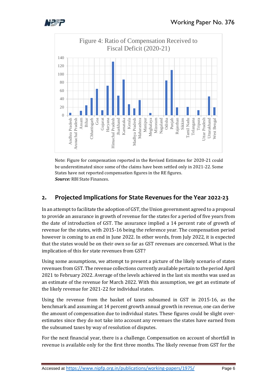



Note: Figure for compensation reported in the Revised Estimates for 2020-21 could be underestimated since some of the claims have been settled only in 2021-22. Some States have not reported compensation figures in the RE figures. *Source:* RBI State Finances.

## **2. Projected Implications for State Revenues for the Year 2022-23**

In an attempt to facilitate the adoption of GST, the Union government agreed to a proposal to provide an assurance in growth of revenue for the states for a period of five years from the date of introduction of GST. The assurance implied a 14 percent rate of growth of revenue for the states, with 2015-16 being the reference year. The compensation period however is coming to an end in June 2022. In other words, from July 2022, it is expected that the states would be on their own so far as GST revenues are concerned. What is the implication of this for state revenues from GST?

Using some assumptions, we attempt to present a picture of the likely scenario of states revenues from GST. The revenue collections currently available pertain to the period April 2021 to February 2022. Average of the levels achieved in the last six months was used as an estimate of the revenue for March 2022. With this assumption, we get an estimate of the likely revenue for 2021-22 for individual states.

Using the revenue from the basket of taxes subsumed in GST in 2015-16, as the benchmark and assuming at 14 percent growth annual growth in revenue, one can derive the amount of compensation due to individual states. These figures could be slight overestimates since they do not take into account any revenues the states have earned from the subsumed taxes by way of resolution of disputes.

For the next financial year, there is a challenge. Compensation on account of shortfall in revenue is available only for the first three months. The likely revenue from GST for the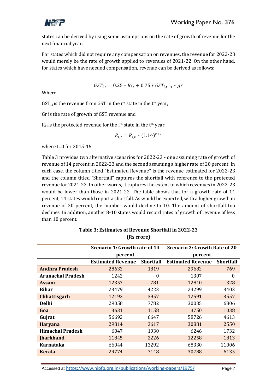

states can be derived by using some assumptions on the rate of growth of revenue for the next financial year.

For states which did not require any compensation on revenues, the revenue for 2022-23 would merely be the rate of growth applied to revenues of 2021-22. On the other hand, for states which have needed compensation, revenue can be derived as follows:

$$
GST_{i,t} = 0.25 * R_{i,t} + 0.75 * GST_{i,t-1} * gr
$$

Where

 $GST_{i,t}$  is the revenue from GST in the i<sup>th</sup> state in the t<sup>th</sup> year,

Gr is the rate of growth of GST revenue and

 $R_{i,t}$  is the protected revenue for the i<sup>th</sup> state in the t<sup>th</sup> year.

$$
R_{i,t} = R_{i,0} * (1.14)^{t+2}
$$

where t=0 for 2015-16.

Table 3 provides two alternative scenarios for 2022-23 - one assuming rate of growth of revenue of 14 percent in 2022-23 and the second assuming a higher rate of 20 percent. In each case, the column titled "Estimated Revenue" is the revenue estimated for 2022-23 and the column titled "Shortfall" captures the shortfall with reference to the protected revenue for 2021-22. In other words, it captures the extent to which revenues in 2022-23 would be lower than those in 2021-22. The table shows that for a growth rate of 14 percent, 14 states would report a shortfall. As would be expected, with a higher growth in revenue of 20 percent, the number would decline to 10. The amount of shortfall too declines. In addition, another 8-10 states would record rates of growth of revenue of less than 10 percent.

|                          | Scenario 1: Growth rate of 14 |                  | Scenario 2: Growth Rate of 20 |                  |  |  |
|--------------------------|-------------------------------|------------------|-------------------------------|------------------|--|--|
|                          | percent                       |                  | percent                       |                  |  |  |
|                          | <b>Estimated Revenue</b>      | <b>Shortfall</b> | <b>Estimated Revenue</b>      | <b>Shortfall</b> |  |  |
| Andhra Pradesh           | 28632                         | 1819             | 29682                         | 769              |  |  |
| <b>Arunachal Pradesh</b> | 1242                          | $\Omega$         | 1307                          | $\theta$         |  |  |
| Assam                    | 12357                         | 781              | 12810                         | 328              |  |  |
| <b>Bihar</b>             | 23479                         | 4223             | 24299                         | 3403             |  |  |
| <b>Chhattisgarh</b>      | 12192                         | 3957             | 12591                         | 3557             |  |  |
| Delhi                    | 29058                         | 7782             | 30035                         | 6806             |  |  |
| Goa                      | 3631                          | 1158             | 3750                          | 1038             |  |  |
| Gujrat                   | 56692                         | 6647             | 58726                         | 4613             |  |  |
| <b>Haryana</b>           | 29814                         | 3617             | 30881                         | 2550             |  |  |
| <b>Himachal Pradesh</b>  | 6047                          | 1930             | 6246                          | 1732             |  |  |
| <b>Jharkhand</b>         | 11845                         | 2226             | 12258                         | 1813             |  |  |
| <b>Karnataka</b>         | 13292<br>66044                |                  | 68330                         | 11006            |  |  |
| <b>Kerala</b>            | 29774                         | 7148             | 30788                         | 6135             |  |  |

### **Table 3: Estimates of Revenue Shortfall in 2022-23 (Rs crore)**

Accessed at <https://www.nipfp.org.in/publications/working-papers/1975/> Page 7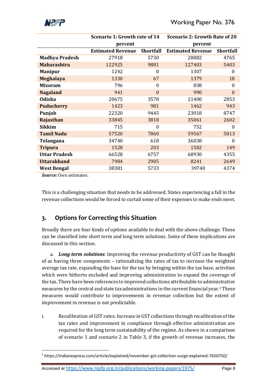

|                       | Scenario 1: Growth rate of 14                |                  | <b>Scenario 2: Growth Rate of 20</b> |                  |  |  |
|-----------------------|----------------------------------------------|------------------|--------------------------------------|------------------|--|--|
|                       | percent                                      |                  | percent                              |                  |  |  |
|                       | <b>Estimated Revenue</b><br><b>Shortfall</b> |                  | <b>Estimated Revenue</b>             | <b>Shortfall</b> |  |  |
| <b>Madhya Pradesh</b> | 27918                                        | 5730             | 28882                                | 4765             |  |  |
| <b>Maharashtra</b>    | 122925                                       | 9881             | 127403                               | 5403             |  |  |
| <b>Manipur</b>        | 1242                                         | $\theta$         | 1307                                 | $\boldsymbol{0}$ |  |  |
| <b>Meghalaya</b>      | 1330                                         | 67               | 1379                                 | 18               |  |  |
| <b>Mizoram</b>        | 796                                          | $\overline{0}$   | 838                                  | $\boldsymbol{0}$ |  |  |
| <b>Nagaland</b>       | 941                                          | $\overline{0}$   | 990                                  | $\mathbf{0}$     |  |  |
| Odisha                | 20675                                        | 3578             | 21400                                | 2853             |  |  |
| <b>Puducherry</b>     | 1423                                         | 981              | 1462                                 | 943              |  |  |
| Punjab                | 22320                                        | 9445             | 23018                                | 8747             |  |  |
| Rajasthan             | 33845                                        | 3818             | 35061                                | 2602             |  |  |
| <b>Sikkim</b>         | 715                                          | $\boldsymbol{0}$ | 752                                  | $\overline{0}$   |  |  |
| <b>Tamil Nadu</b>     | 57520                                        | 7860             | 59567                                | 5813             |  |  |
| Telangana             | 34740                                        | 618              | 36038                                | $\theta$         |  |  |
| <b>Tripura</b>        | 1528                                         | 203              | 1582                                 | 149              |  |  |
| <b>Uttar Pradesh</b>  | 66528                                        | 6757             | 68930                                | 4355             |  |  |
| <b>Uttarakhand</b>    | 7984                                         | 2905             | 8241                                 | 2649             |  |  |
| <b>West Bengal</b>    | 38381                                        | 5733             | 39740                                | 4374             |  |  |

*Source:* Own estimates.

This is a challenging situation that needs to be addressed. States experiencing a fall in the revenue collections would be forced to curtail some of their expenses to make ends meet.

## **3. Options for Correcting this Situation**

Broadly there are four kinds of options available to deal with the above challenge. These can be classified into short term and long term solutions. Some of these implications are discussed in this section.

a. *Long term solutions*: Improving the revenue productivity of GST can be thought of as having three components – rationalizing the rates of tax to increase the weighted average tax rate, expanding the base for the tax by bringing within the tax base, activities which were hitherto excluded and improving administration to expand the coverage of the tax. There have been references to improved collections attributable to administrative measures by the central and state tax administrations in the current financial year.<sup>1</sup> These measures would contribute to improvements in revenue collection but the extent of improvement in revenue is not predictable.

i. Recalibration of GST rates: Increase in GST collections through recalibration of the tax rates and improvement in compliance through effective administration are required for the long term sustainability of the regime. As shown in a comparison of scenario 1 and scenario 2 in Table 3, if the growth of revenue increases, the

 $\overline{a}$ <sup>1</sup> https://indianexpress.com/article/explained/november-gst-collection-surge-explained-7650750/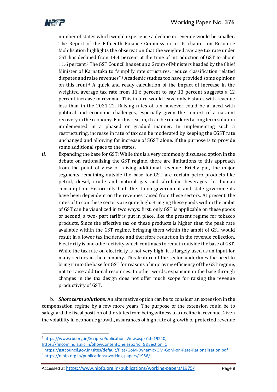

number of states which would experience a decline in revenue would be smaller. The Report of the Fifteenth Finance Commission in its chapter on Resource Mobilisation highlights the observation that the weighted average tax rate under GST has declined from 14.4 percent at the time of introduction of GST to about 11.6 percent.<sup>2</sup> The GST Council has set up a Group of Ministers headed by the Chief Minister of Karnataka to "simplify rate structures, reduce classification related disputes and raise revenues".<sup>3</sup> Academic studies too have provided some opinions on this front.<sup>4</sup> A quick and ready calculation of the impact of increase in the weighted average tax rate from 11.6 percent to say 13 percent suggests a 12 percent increase in revenue. This in turn would leave only 6 states with revenue less than in the 2021-22. Raising rates of tax however could be a faced with political and economic challenges, especially given the context of a nascent recovery in the economy. For this reason, it can be considered a long term solution implemented in a phased or gradual manner. In implementing such a restructuring, increase in rate of tax can be moderated by keeping the CGST rate unchanged and allowing for increase of SGST alone, if the purpose is to provide some additional space to the states.

*ii.* Expanding the base for GST: While this is a very commonly discussed option in the debate on rationalizing the GST regime, there are limitations to this approach from the point of view of raising additional revenue. Briefly put, the major segments remaining outside the base for GST are certain petro products like petrol, diesel, crude and natural gas and alcoholic beverages for human consumption. Historically both the Union government and state governments have been dependent on the revenues raised from these sectors. At present, the rates of tax on these sectors are quite high. Bringing these goods within the ambit of GST can be visualized in two ways: first, only GST is applicable on these goods or second, a two- part tariff is put in place, like the present regime for tobacco products. Since the effective tax on these products is higher than the peak rate available within the GST regime, bringing them within the ambit of GST would result in a lower tax incidence and therefore reduction in the revenue collection. Electricity is one other activity which continues to remain outside the base of GST. While the tax rate on electricity is not very high, it is largely used as an input for many sectors in the economy. This feature of the sector underlines the need to bring it into the base for GST for reasons of improving efficiency of the GST regime, not to raise additional resources. In other words, expansion in the base through changes in the tax design does not offer much scope for raising the revenue productivity of GST.

b. *Short term solutions:* An alternative option can be to consider an extension in the compensation regime by a few more years. The purpose of the extension could be to safeguard the fiscal position of the states from being witness to a decline in revenue. Given the volatility in economic growth, assurances of high rate of growth of protected revenue

 $\overline{a}$ 

<sup>2</sup> [https://www.rbi.org.in/Scripts/PublicationsView.aspx?id=19240,](https://www.rbi.org.in/Scripts/PublicationsView.aspx?id=19240)

<https://fincomindia.nic.in/ShowContentOne.aspx?id=9&Section=1>

<sup>3</sup> <https://gstcouncil.gov.in/sites/default/files/GoM-Dynamic/OM-GoM-on-Rate-Rationalization.pdf>

<sup>4</sup> <https://nipfp.org.in/publications/working-papers/1956/>

Accessed at <https://www.nipfp.org.in/publications/working-papers/1975/> Page 9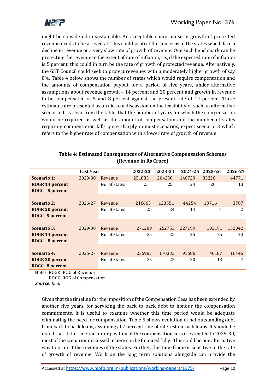

might be considered unsustainable. An acceptable compromise in growth of protected revenue needs to be arrived at. This could protect the concerns of the states which face a decline in revenue or a very slow rate of growth of revenue. One such benchmark can be protecting the revenue to the extent of rate of inflation, i.e., if the expected rate of inflation is 5 percent, this could in turn be the rate of growth of protected revenue. Alternatively, the GST Council could seek to protect revenues with a moderately higher growth of say 8%. Table 4 below shows the number of states which would require compensation and the amounts of compensation payout for a period of five years, under alternative assumptions about revenue growth – 14 percent and 20 percent and growth in revenue to be compensated of 5 and 8 percent against the present rate of 14 percent. These estimates are presented as an aid to a discussion on the feasibility of such an alternative scenario. It is clear from the table, that the number of years for which the compensation would be required as well as the amount of compensation and the number of states requiring compensation falls quite sharply in most scenarios, expect scenario 3 which refers to the higher rate of compensation with a lower rate of growth of revenue.

|                        | <b>Last Year</b> |               | 2022-23 | 2023-24 | 2024-25 | 2025-26 | 2026-27 |
|------------------------|------------------|---------------|---------|---------|---------|---------|---------|
| <b>Scenario 1:</b>     | 2029-30          | Revenue       | 251885  | 204250  | 146729  | 85226   | 44771   |
| <b>ROGR 14 percent</b> |                  | No. of States | 25      | 25      | 24      | 20      | 13      |
| ROGC 5 percent         |                  |               |         |         |         |         |         |
|                        |                  |               |         |         |         |         |         |
| <b>Scenario 2:</b>     | 2026-27          | Revenue       | 216663  | 123551  | 44254   | 13716   | 3787    |
| <b>ROGR 20 percent</b> |                  | No. of States | 25      | 24      | 14      | 7       | 2       |
| ROGC 5 percent         |                  |               |         |         |         |         |         |
|                        |                  |               |         |         |         |         |         |
| <b>Scenario 3:</b>     | 2029-30          | Revenue       | 271209  | 252753  | 227199  | 193191  | 152042  |
| <b>ROGR 14 percent</b> |                  | No. of States | 25      | 25      | 25      | 25      | 23      |
| ROGC 8 percent         |                  |               |         |         |         |         |         |
|                        |                  |               |         |         |         |         |         |
| <b>Scenario 4:</b>     | 2026-27          | Revenue       | 235987  | 170333  | 91686   | 40187   | 16445   |
| <b>ROGR 20 percent</b> |                  | No. of States | 25      | 25      | 20      | 13      | 7       |
| ROGC 8 percent         |                  |               |         |         |         |         |         |

| Table 4: Estimated Consequences of Alternative Compensation Schemes |
|---------------------------------------------------------------------|
| (Revenue in Rs Crore)                                               |

Notes: ROGR: ROG of Revenue,

ROGC: ROG of Compensation.

*Source: Ibid.*

Given that the timeline for the imposition of the Compensation Cess has been extended by another five years, for servicing the back to back debt to honour the compensation commitments, it is useful to examine whether this time period would be adequate eliminating the need for compensation. Table 5 shows evolution of net outstanding debt from back to back loans, assuming at 7 percent rate of interest on such loans. It should be noted that if the timeline for imposition of the compensation cess is extended to 2029-30, most of the scenarios discussed in here can be financed fully. This could be one alternative way to protect the revenues of the states. Further, this time frame is sensitive to the rate of growth of revenue. Work on the long term solutions alongside can provide the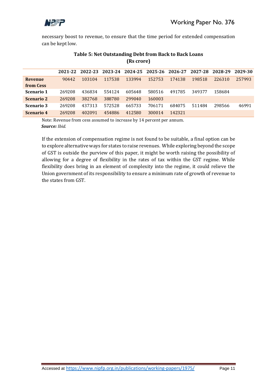

necessary boost to revenue, to ensure that the time period for extended compensation can be kept low.

|                   |        |        |        | 2021-22 2022-23 2023-24 2024-25 2025-26 2026-27 |        |        | 2027-28 | 2028-29 | 2029-30 |
|-------------------|--------|--------|--------|-------------------------------------------------|--------|--------|---------|---------|---------|
| <b>Revenue</b>    | 90442  | 103104 | 117538 | 133994                                          | 152753 | 174138 | 198518  | 226310  | 257993  |
| from Cess         |        |        |        |                                                 |        |        |         |         |         |
| <b>Scenario 1</b> | 269208 | 436834 | 554124 | 605648                                          | 580516 | 491785 | 349377  | 158684  |         |
| <b>Scenario 2</b> | 269208 | 382768 | 388780 | 299040                                          | 160003 |        |         |         |         |
| <b>Scenario 3</b> | 269208 | 437313 | 572528 | 665733                                          | 706171 | 684075 | 511484  | 298566  | 46991   |
| Scenario 4        | 269208 | 402091 | 454886 | 412580                                          | 300014 | 142321 |         |         |         |

### **Table 5: Net Outstanding Debt from Back to Back Loans (Rs crore)**

Note: Revenue from cess assumed to increase by 14 percent per annum.  *Source: Ibid.*

If the extension of compensation regime is not found to be suitable, a final option can be to explore alternative ways for states to raise revenues. While exploring beyond the scope of GST is outside the purview of this paper, it might be worth raising the possibility of allowing for a degree of flexibility in the rates of tax within the GST regime. While flexibility does bring in an element of complexity into the regime, it could relieve the Union government of its responsibility to ensure a minimum rate of growth of revenue to the states from GST.